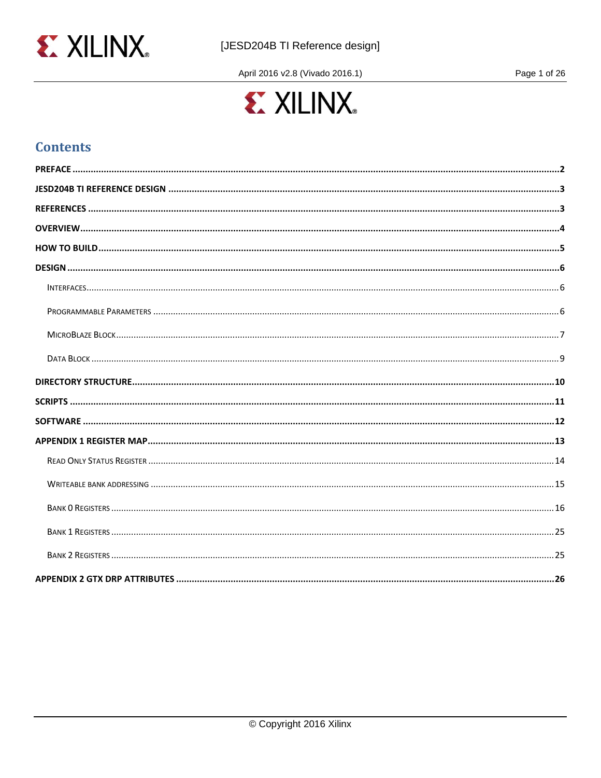

April 2016 v2.8 (Vivado 2016.1)

Page 1 of 26



# **Contents**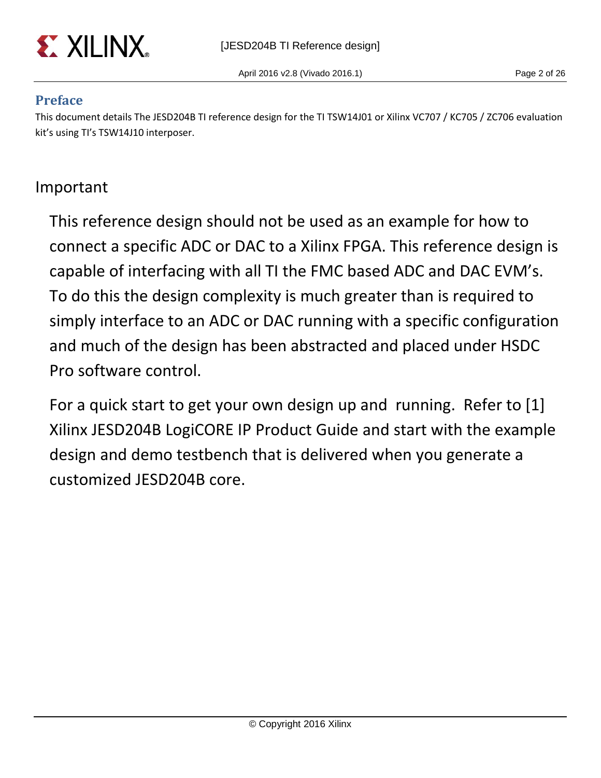

# <span id="page-1-0"></span>**Preface**

This document details The JESD204B TI reference design for the TI TSW14J01 or Xilinx VC707 / KC705 / ZC706 evaluation kit's using TI's TSW14J10 interposer.

# Important

This reference design should not be used as an example for how to connect a specific ADC or DAC to a Xilinx FPGA. This reference design is capable of interfacing with all TI the FMC based ADC and DAC EVM's. To do this the design complexity is much greater than is required to simply interface to an ADC or DAC running with a specific configuration and much of the design has been abstracted and placed under HSDC Pro software control.

For a quick start to get your own design up and running. Refer to [1] Xilinx JESD204B LogiCORE IP Product Guide and start with the example design and demo testbench that is delivered when you generate a customized JESD204B core.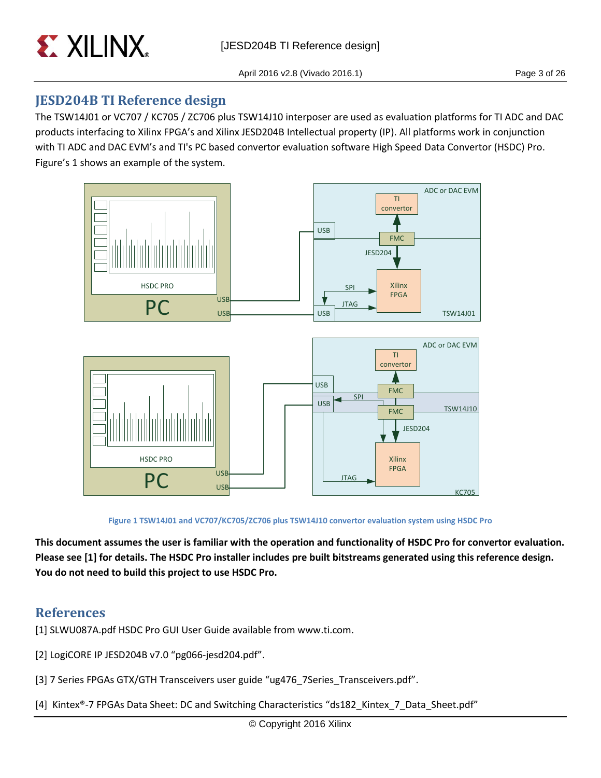

# <span id="page-2-0"></span>**JESD204B TI Reference design**

The TSW14J01 or VC707 / KC705 / ZC706 plus TSW14J10 interposer are used as evaluation platforms for TI ADC and DAC products interfacing to Xilinx FPGA's and Xilinx JESD204B Intellectual property (IP). All platforms work in conjunction with TI ADC and DAC EVM's and TI's PC based convertor evaluation software High Speed Data Convertor (HSDC) Pro. Figure's 1 shows an example of the system.



**Figure 1 TSW14J01 and VC707/KC705/ZC706 plus TSW14J10 convertor evaluation system using HSDC Pro**

**This document assumes the user is familiar with the operation and functionality of HSDC Pro for convertor evaluation. Please see [1] for details. The HSDC Pro installer includes pre built bitstreams generated using this reference design. You do not need to build this project to use HSDC Pro.**

# <span id="page-2-1"></span>**References**

[1] SLWU087A.pdf HSDC Pro GUI User Guide available from www.ti.com.

- [2] LogiCORE IP JESD204B v7.0 "pg066-jesd204.pdf".
- [3] 7 Series FPGAs GTX/GTH Transceivers user guide "ug476\_7Series\_Transceivers.pdf".
- [4] Kintex®-7 FPGAs Data Sheet: DC and Switching Characteristics "ds182\_Kintex\_7\_Data\_Sheet.pdf"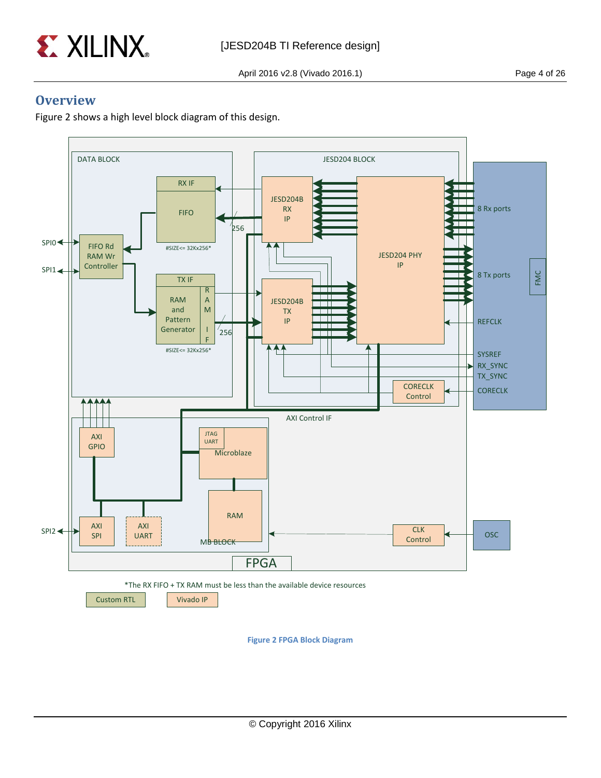

## <span id="page-3-0"></span>**Overview**

Figure 2 shows a high level block diagram of this design.



**Figure 2 FPGA Block Diagram**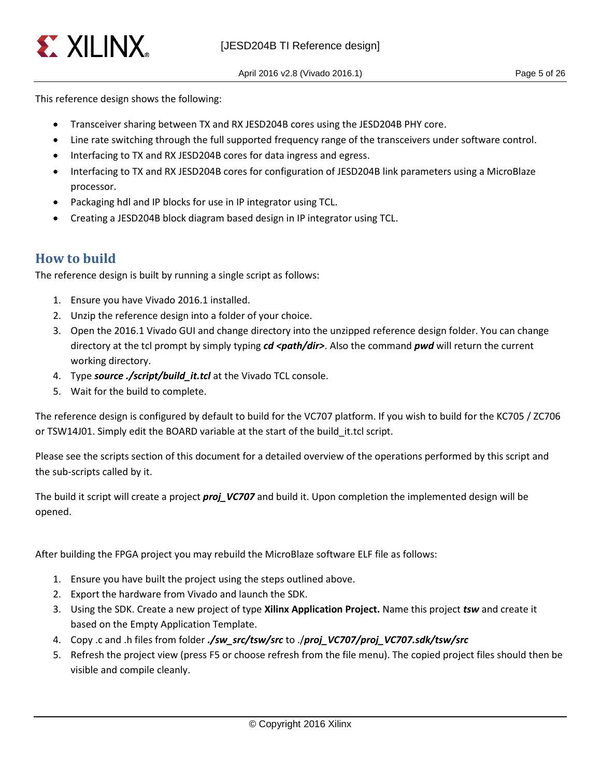

This reference design shows the following:

- Transceiver sharing between TX and RX JESD204B cores using the JESD204B PHY core.
- Line rate switching through the full supported frequency range of the transceivers under software control.
- Interfacing to TX and RX JESD204B cores for data ingress and egress.
- Interfacing to TX and RX JESD204B cores for configuration of JESD204B link parameters using a MicroBlaze processor.
- Packaging hdl and IP blocks for use in IP integrator using TCL.
- Creating a JESD204B block diagram based design in IP integrator using TCL.

# <span id="page-4-0"></span>**How to build**

The reference design is built by running a single script as follows:

- 1. Ensure you have Vivado 2016.1 installed.
- 2. Unzip the reference design into a folder of your choice.
- 3. Open the 2016.1 Vivado GUI and change directory into the unzipped reference design folder. You can change directory at the tcl prompt by simply typing *cd <path/dir>*. Also the command *pwd* will return the current working directory.
- 4. Type *source ./script/build\_it.tcl* at the Vivado TCL console.
- 5. Wait for the build to complete.

The reference design is configured by default to build for the VC707 platform. If you wish to build for the KC705 / ZC706 or TSW14J01. Simply edit the BOARD variable at the start of the build\_it.tcl script.

Please see the scripts section of this document for a detailed overview of the operations performed by this script and the sub-scripts called by it.

The build it script will create a project *proj\_VC707* and build it. Upon completion the implemented design will be opened.

After building the FPGA project you may rebuild the MicroBlaze software ELF file as follows:

- 1. Ensure you have built the project using the steps outlined above.
- 2. Export the hardware from Vivado and launch the SDK.
- 3. Using the SDK. Create a new project of type **Xilinx Application Project.** Name this project *tsw* and create it based on the Empty Application Template.
- 4. Copy .c and .h files from folder *./sw\_src/tsw/src* to ./*proj\_VC707/proj\_VC707.sdk/tsw/src*
- 5. Refresh the project view (press F5 or choose refresh from the file menu). The copied project files should then be visible and compile cleanly.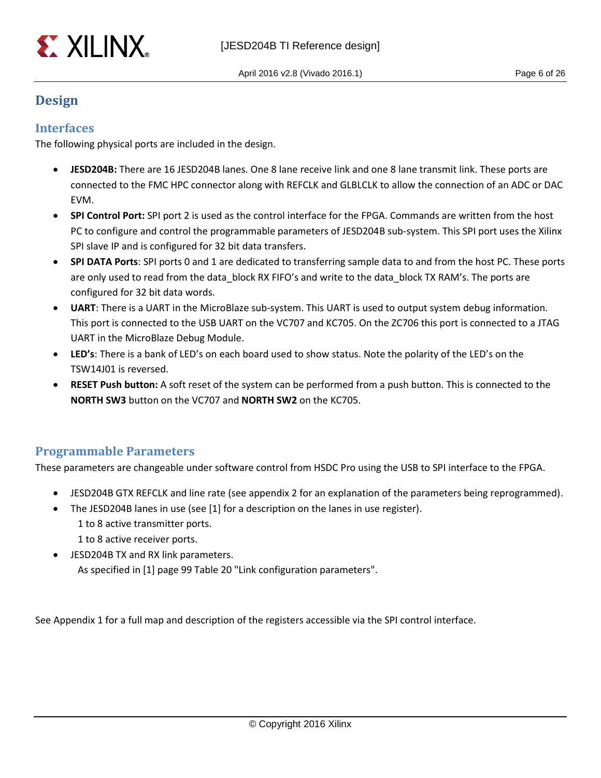

# <span id="page-5-0"></span>**Design**

### <span id="page-5-1"></span>**Interfaces**

The following physical ports are included in the design.

- **JESD204B:** There are 16 JESD204B lanes. One 8 lane receive link and one 8 lane transmit link. These ports are connected to the FMC HPC connector along with REFCLK and GLBLCLK to allow the connection of an ADC or DAC EVM.
- **SPI Control Port:** SPI port 2 is used as the control interface for the FPGA. Commands are written from the host PC to configure and control the programmable parameters of JESD204B sub-system. This SPI port uses the Xilinx SPI slave IP and is configured for 32 bit data transfers.
- **SPI DATA Ports**: SPI ports 0 and 1 are dedicated to transferring sample data to and from the host PC. These ports are only used to read from the data block RX FIFO's and write to the data block TX RAM's. The ports are configured for 32 bit data words.
- **UART**: There is a UART in the MicroBlaze sub-system. This UART is used to output system debug information. This port is connected to the USB UART on the VC707 and KC705. On the ZC706 this port is connected to a JTAG UART in the MicroBlaze Debug Module.
- **LED's**: There is a bank of LED's on each board used to show status. Note the polarity of the LED's on the TSW14J01 is reversed.
- **RESET Push button:** A soft reset of the system can be performed from a push button. This is connected to the **NORTH SW3** button on the VC707 and **NORTH SW2** on the KC705.

### <span id="page-5-2"></span>**Programmable Parameters**

These parameters are changeable under software control from HSDC Pro using the USB to SPI interface to the FPGA.

- JESD204B GTX REFCLK and line rate (see appendix 2 for an explanation of the parameters being reprogrammed).
- The JESD204B lanes in use (see [1] for a description on the lanes in use register).
	- 1 to 8 active transmitter ports.
	- 1 to 8 active receiver ports.
- JESD204B TX and RX link parameters. As specified in [1] page 99 Table 20 "Link configuration parameters".

See Appendix 1 for a full map and description of the registers accessible via the SPI control interface.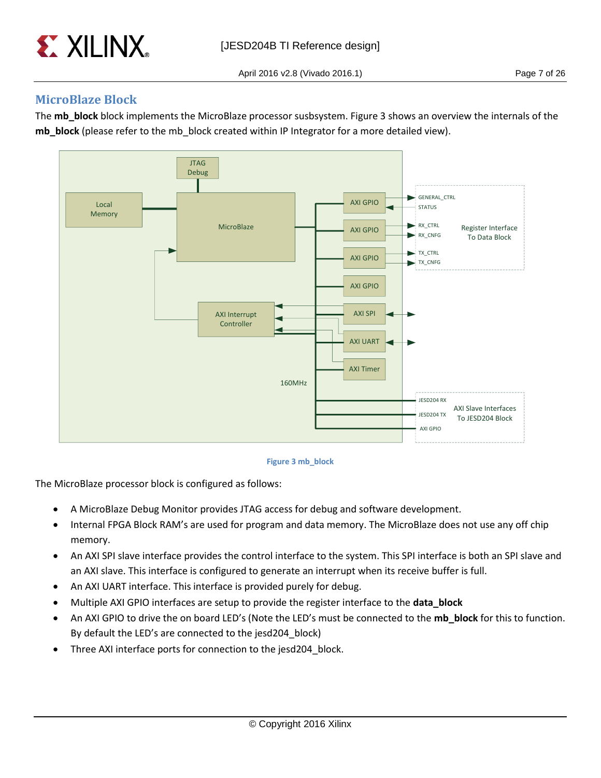

### <span id="page-6-0"></span>**MicroBlaze Block**

The **mb** block block implements the MicroBlaze processor susbsystem. Figure 3 shows an overview the internals of the **mb\_block** (please refer to the mb\_block created within IP Integrator for a more detailed view).



#### **Figure 3 mb\_block**

The MicroBlaze processor block is configured as follows:

- A MicroBlaze Debug Monitor provides JTAG access for debug and software development.
- Internal FPGA Block RAM's are used for program and data memory. The MicroBlaze does not use any off chip memory.
- An AXI SPI slave interface provides the control interface to the system. This SPI interface is both an SPI slave and an AXI slave. This interface is configured to generate an interrupt when its receive buffer is full.
- An AXI UART interface. This interface is provided purely for debug.
- Multiple AXI GPIO interfaces are setup to provide the register interface to the **data\_block**
- An AXI GPIO to drive the on board LED's (Note the LED's must be connected to the **mb\_block** for this to function. By default the LED's are connected to the jesd204\_block)
- Three AXI interface ports for connection to the jesd204\_block.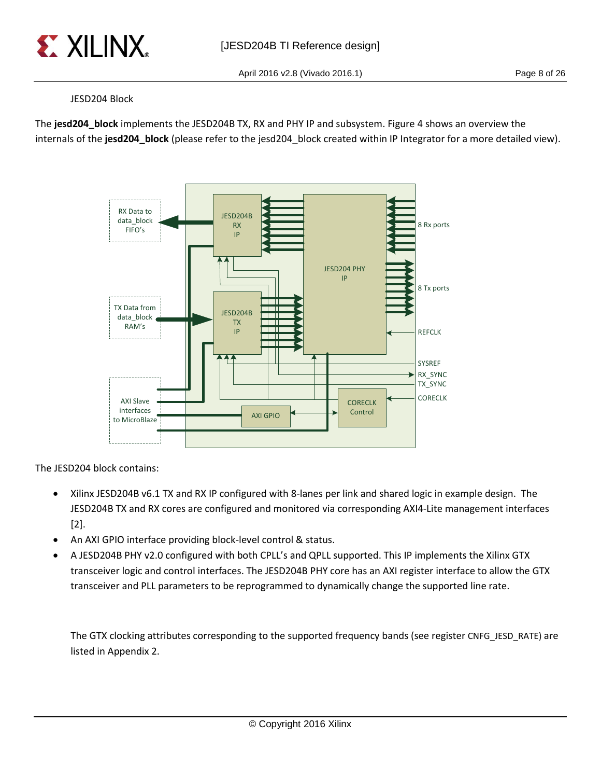

#### JESD204 Block

The **jesd204\_block** implements the JESD204B TX, RX and PHY IP and subsystem. Figure 4 shows an overview the internals of the **jesd204\_block** (please refer to the jesd204\_block created within IP Integrator for a more detailed view).



The JESD204 block contains:

- Xilinx JESD204B v6.1 TX and RX IP configured with 8-lanes per link and shared logic in example design. The JESD204B TX and RX cores are configured and monitored via corresponding AXI4-Lite management interfaces [2].
- An AXI GPIO interface providing block-level control & status.
- A JESD204B PHY v2.0 configured with both CPLL's and QPLL supported. This IP implements the Xilinx GTX transceiver logic and control interfaces. The JESD204B PHY core has an AXI register interface to allow the GTX transceiver and PLL parameters to be reprogrammed to dynamically change the supported line rate.

The GTX clocking attributes corresponding to the supported frequency bands (see register CNFG\_JESD\_RATE) are listed in Appendix 2.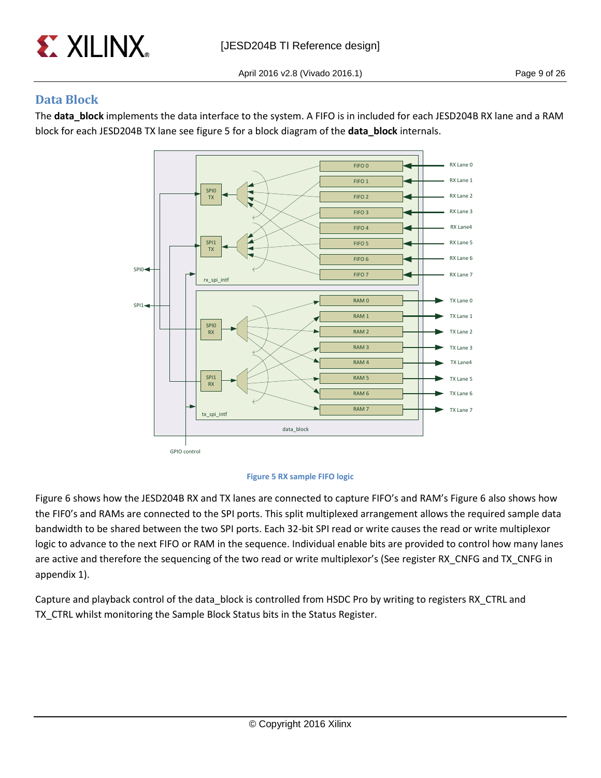

## <span id="page-8-0"></span>**Data Block**

The **data\_block** implements the data interface to the system. A FIFO is in included for each JESD204B RX lane and a RAM block for each JESD204B TX lane see figure 5 for a block diagram of the **data\_block** internals.



#### **Figure 5 RX sample FIFO logic**

Figure 6 shows how the JESD204B RX and TX lanes are connected to capture FIFO's and RAM's Figure 6 also shows how the FIF0's and RAMs are connected to the SPI ports. This split multiplexed arrangement allows the required sample data bandwidth to be shared between the two SPI ports. Each 32-bit SPI read or write causes the read or write multiplexor logic to advance to the next FIFO or RAM in the sequence. Individual enable bits are provided to control how many lanes are active and therefore the sequencing of the two read or write multiplexor's (See register RX\_CNFG and TX\_CNFG in appendix 1).

Capture and playback control of the data\_block is controlled from HSDC Pro by writing to registers RX\_CTRL and TX\_CTRL whilst monitoring the Sample Block Status bits in the Status Register.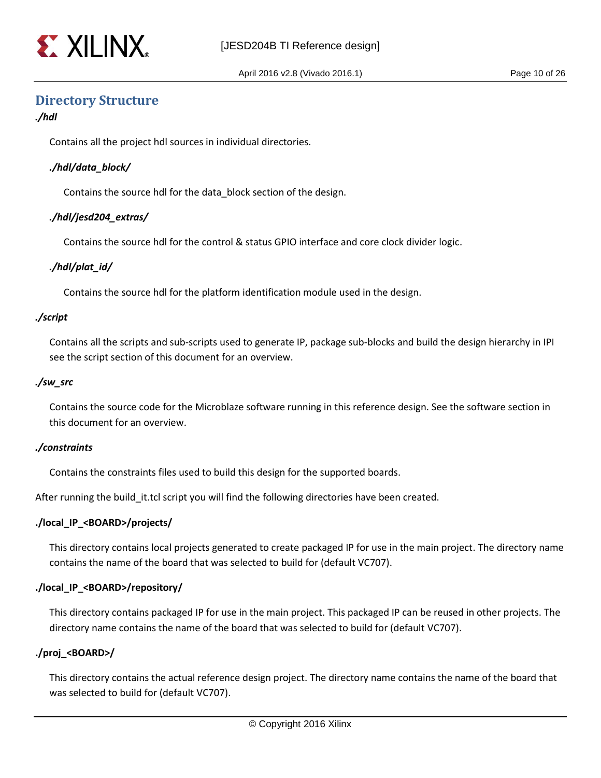

### <span id="page-9-0"></span>**Directory Structure**

#### *./hdl*

Contains all the project hdl sources in individual directories.

#### *./hdl/data\_block/*

Contains the source hdl for the data\_block section of the design.

#### *./hdl/jesd204\_extras/*

Contains the source hdl for the control & status GPIO interface and core clock divider logic.

#### *./hdl/plat\_id/*

Contains the source hdl for the platform identification module used in the design.

#### *./script*

Contains all the scripts and sub-scripts used to generate IP, package sub-blocks and build the design hierarchy in IPI see the script section of this document for an overview.

#### *./sw\_src*

Contains the source code for the Microblaze software running in this reference design. See the software section in this document for an overview.

#### *./constraints*

Contains the constraints files used to build this design for the supported boards.

After running the build\_it.tcl script you will find the following directories have been created.

#### **./local\_IP\_<BOARD>/projects/**

This directory contains local projects generated to create packaged IP for use in the main project. The directory name contains the name of the board that was selected to build for (default VC707).

#### **./local\_IP\_<BOARD>/repository/**

This directory contains packaged IP for use in the main project. This packaged IP can be reused in other projects. The directory name contains the name of the board that was selected to build for (default VC707).

#### **./proj\_<BOARD>/**

This directory contains the actual reference design project. The directory name contains the name of the board that was selected to build for (default VC707).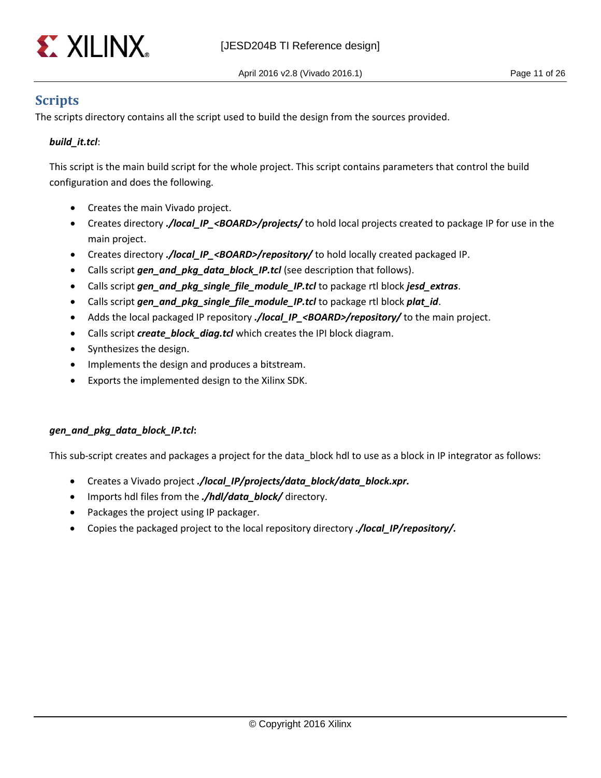

# <span id="page-10-0"></span>**Scripts**

The scripts directory contains all the script used to build the design from the sources provided.

#### *build\_it.tcl*:

This script is the main build script for the whole project. This script contains parameters that control the build configuration and does the following.

- Creates the main Vivado project.
- Creates directory *./local\_IP\_<BOARD>/projects/* to hold local projects created to package IP for use in the main project.
- Creates directory *./local\_IP\_<BOARD>/repository/* to hold locally created packaged IP.
- Calls script *gen\_and\_pkg\_data\_block\_IP.tcl* (see description that follows).
- Calls script *gen\_and\_pkg\_single\_file\_module\_IP.tcl* to package rtl block *jesd\_extras*.
- Calls script *gen\_and\_pkg\_single\_file\_module\_IP.tcl* to package rtl block *plat\_id*.
- Adds the local packaged IP repository *./local\_IP\_<BOARD>/repository/* to the main project.
- Calls script *create\_block\_diag.tcl* which creates the IPI block diagram.
- Synthesizes the design.
- Implements the design and produces a bitstream.
- Exports the implemented design to the Xilinx SDK.

#### *gen\_and\_pkg\_data\_block\_IP.tcl***:**

This sub-script creates and packages a project for the data block hdl to use as a block in IP integrator as follows:

- Creates a Vivado project *./local\_IP/projects/data\_block/data\_block.xpr.*
- Imports hdl files from the *./hdl/data\_block/* directory.
- Packages the project using IP packager.
- Copies the packaged project to the local repository directory *./local\_IP/repository/.*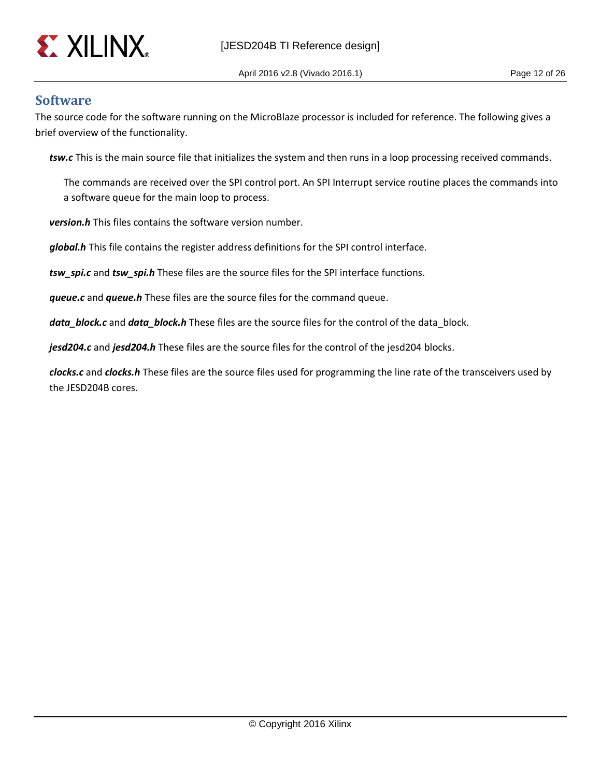

### <span id="page-11-0"></span>**Software**

The source code for the software running on the MicroBlaze processor is included for reference. The following gives a brief overview of the functionality.

*tsw.c* This is the main source file that initializes the system and then runs in a loop processing received commands.

The commands are received over the SPI control port. An SPI Interrupt service routine places the commands into a software queue for the main loop to process.

*version.h* This files contains the software version number.

*global.h* This file contains the register address definitions for the SPI control interface.

*tsw\_spi.c* and *tsw\_spi.h* These files are the source files for the SPI interface functions.

*queue.c* and *queue.h* These files are the source files for the command queue.

*data\_block.c* and *data\_block.h* These files are the source files for the control of the data block.

*jesd204.c* and *jesd204.h* These files are the source files for the control of the jesd204 blocks.

*clocks.c* and *clocks.h* These files are the source files used for programming the line rate of the transceivers used by the JESD204B cores.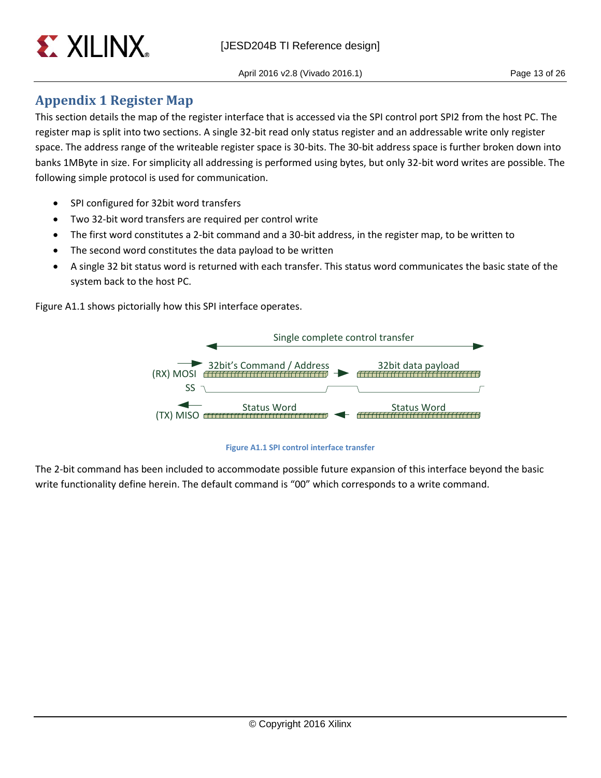

# <span id="page-12-0"></span>**Appendix 1 Register Map**

This section details the map of the register interface that is accessed via the SPI control port SPI2 from the host PC. The register map is split into two sections. A single 32-bit read only status register and an addressable write only register space. The address range of the writeable register space is 30-bits. The 30-bit address space is further broken down into banks 1MByte in size. For simplicity all addressing is performed using bytes, but only 32-bit word writes are possible. The following simple protocol is used for communication.

- SPI configured for 32bit word transfers
- Two 32-bit word transfers are required per control write
- The first word constitutes a 2-bit command and a 30-bit address, in the register map, to be written to
- The second word constitutes the data payload to be written
- A single 32 bit status word is returned with each transfer. This status word communicates the basic state of the system back to the host PC.

Figure A1.1 shows pictorially how this SPI interface operates.



**Figure A1.1 SPI control interface transfer**

The 2-bit command has been included to accommodate possible future expansion of this interface beyond the basic write functionality define herein. The default command is "00" which corresponds to a write command.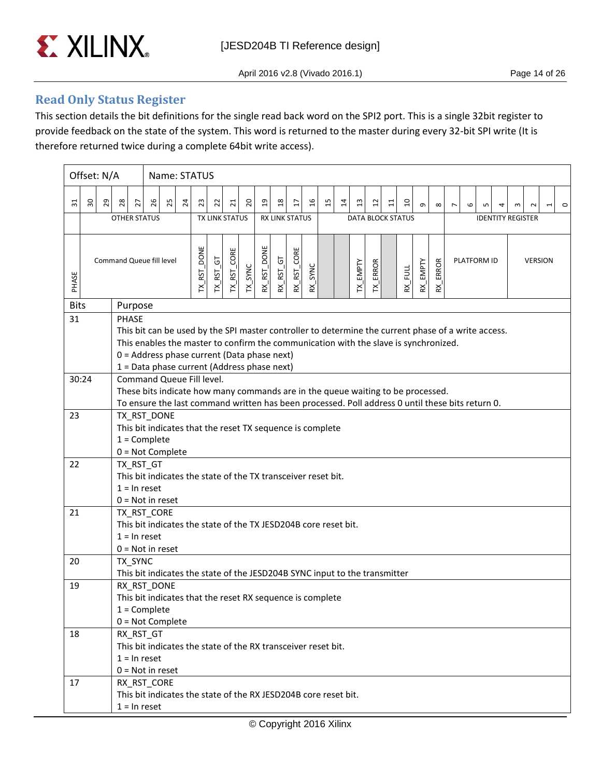

### <span id="page-13-0"></span>**Read Only Status Register**

This section details the bit definitions for the single read back word on the SPI2 port. This is a single 32bit register to provide feedback on the state of the system. This word is returned to the master during every 32-bit SPI write (It is therefore returned twice during a complete 64bit write access).

|             | Offset: N/A        |                                                                                                                                                                                                                                                                                                                                                                                                                                                                                                                        |                                |    | Name: STATUS                                                                                   |    |                    |                                        |                         |         |                |                       |                     |                 |    |    |                |                 |                          |                |            |                                                     |                |   |             |   |                          |                |                          |         |
|-------------|--------------------|------------------------------------------------------------------------------------------------------------------------------------------------------------------------------------------------------------------------------------------------------------------------------------------------------------------------------------------------------------------------------------------------------------------------------------------------------------------------------------------------------------------------|--------------------------------|----|------------------------------------------------------------------------------------------------|----|--------------------|----------------------------------------|-------------------------|---------|----------------|-----------------------|---------------------|-----------------|----|----|----------------|-----------------|--------------------------|----------------|------------|-----------------------------------------------------|----------------|---|-------------|---|--------------------------|----------------|--------------------------|---------|
| 31          | $30^{\circ}$<br>29 | 28                                                                                                                                                                                                                                                                                                                                                                                                                                                                                                                     | 27                             | 26 | 25                                                                                             | 24 | 23                 | 22                                     | $\overline{\mathbf{C}}$ | 20      | $\overline{a}$ | $^{28}$               | $\overline{\Omega}$ | $\overline{16}$ | 15 | 14 | $\mathfrak{a}$ | $\overline{12}$ | $\Xi$                    | $\overline{a}$ | $\sigma$   | $\infty$                                            | $\overline{ }$ | 6 | S           | 4 | $\sim$                   | $\sim$         | $\overline{\phantom{0}}$ | $\circ$ |
|             |                    | <b>OTHER STATUS</b>                                                                                                                                                                                                                                                                                                                                                                                                                                                                                                    |                                |    |                                                                                                |    |                    | <b>TX LINK STATUS</b>                  |                         |         |                | <b>RX LINK STATUS</b> |                     |                 |    |    |                |                 | <b>DATA BLOCK STATUS</b> |                |            |                                                     |                |   |             |   | <b>IDENTITY REGISTER</b> |                |                          |         |
| PHASE       |                    | Command Queue fill level                                                                                                                                                                                                                                                                                                                                                                                                                                                                                               |                                |    |                                                                                                |    | <b>TX_RST_DONE</b> | $\overline{G}$<br>$TX$ <sub>_RST</sub> | TX_RST_CORE             | TX_SYNC | RX_RST_DONE    | $RX\_RST\_GT$         | RX_RST_CORE         | SYNC<br>ន'      |    |    | TX_EMPTY       | TX_ERROR        |                          | FULL<br>Κ,     | $RX$ EMPTY | <b>ERROR</b><br>$\underline{\mathsf{x}}^\mathsf{I}$ |                |   | PLATFORM ID |   |                          | <b>VERSION</b> |                          |         |
| <b>Bits</b> |                    |                                                                                                                                                                                                                                                                                                                                                                                                                                                                                                                        | Purpose                        |    |                                                                                                |    |                    |                                        |                         |         |                |                       |                     |                 |    |    |                |                 |                          |                |            |                                                     |                |   |             |   |                          |                |                          |         |
| 31          |                    | PHASE<br>This bit can be used by the SPI master controller to determine the current phase of a write access.<br>This enables the master to confirm the communication with the slave is synchronized.<br>0 = Address phase current (Data phase next)<br>1 = Data phase current (Address phase next)<br>Command Queue Fill level.<br>These bits indicate how many commands are in the queue waiting to be processed.<br>To ensure the last command written has been processed. Poll address 0 until these bits return 0. |                                |    |                                                                                                |    |                    |                                        |                         |         |                |                       |                     |                 |    |    |                |                 |                          |                |            |                                                     |                |   |             |   |                          |                |                          |         |
| 30:24       |                    |                                                                                                                                                                                                                                                                                                                                                                                                                                                                                                                        |                                |    |                                                                                                |    |                    |                                        |                         |         |                |                       |                     |                 |    |    |                |                 |                          |                |            |                                                     |                |   |             |   |                          |                |                          |         |
| 23          |                    | TX_RST_DONE<br>This bit indicates that the reset TX sequence is complete<br>$1 =$ Complete<br>$0 = Not Complete$                                                                                                                                                                                                                                                                                                                                                                                                       |                                |    |                                                                                                |    |                    |                                        |                         |         |                |                       |                     |                 |    |    |                |                 |                          |                |            |                                                     |                |   |             |   |                          |                |                          |         |
| 22          |                    |                                                                                                                                                                                                                                                                                                                                                                                                                                                                                                                        | TX_RST_GT<br>$1 = \ln$ reset   |    | This bit indicates the state of the TX transceiver reset bit.<br>$0 = Not in reset$            |    |                    |                                        |                         |         |                |                       |                     |                 |    |    |                |                 |                          |                |            |                                                     |                |   |             |   |                          |                |                          |         |
| 21          |                    |                                                                                                                                                                                                                                                                                                                                                                                                                                                                                                                        | TX_RST_CORE<br>$1 = \ln$ reset |    | This bit indicates the state of the TX JESD204B core reset bit.<br>$0 = Not in reset$          |    |                    |                                        |                         |         |                |                       |                     |                 |    |    |                |                 |                          |                |            |                                                     |                |   |             |   |                          |                |                          |         |
| 20          |                    |                                                                                                                                                                                                                                                                                                                                                                                                                                                                                                                        | TX_SYNC                        |    | This bit indicates the state of the JESD204B SYNC input to the transmitter                     |    |                    |                                        |                         |         |                |                       |                     |                 |    |    |                |                 |                          |                |            |                                                     |                |   |             |   |                          |                |                          |         |
| 19          |                    |                                                                                                                                                                                                                                                                                                                                                                                                                                                                                                                        | $1 =$ Complete                 |    | RX_RST_DONE<br>This bit indicates that the reset RX sequence is complete<br>$0 = Not Complete$ |    |                    |                                        |                         |         |                |                       |                     |                 |    |    |                |                 |                          |                |            |                                                     |                |   |             |   |                          |                |                          |         |
| 18          |                    |                                                                                                                                                                                                                                                                                                                                                                                                                                                                                                                        | RX RST GT<br>$1 = \ln$ reset   |    | This bit indicates the state of the RX transceiver reset bit.<br>$0 = Not in reset$            |    |                    |                                        |                         |         |                |                       |                     |                 |    |    |                |                 |                          |                |            |                                                     |                |   |             |   |                          |                |                          |         |
| 17          |                    |                                                                                                                                                                                                                                                                                                                                                                                                                                                                                                                        | $1 = \ln$ reset                |    | RX_RST_CORE<br>This bit indicates the state of the RX JESD204B core reset bit.                 |    |                    |                                        |                         |         |                |                       |                     |                 |    |    |                |                 |                          |                |            |                                                     |                |   |             |   |                          |                |                          |         |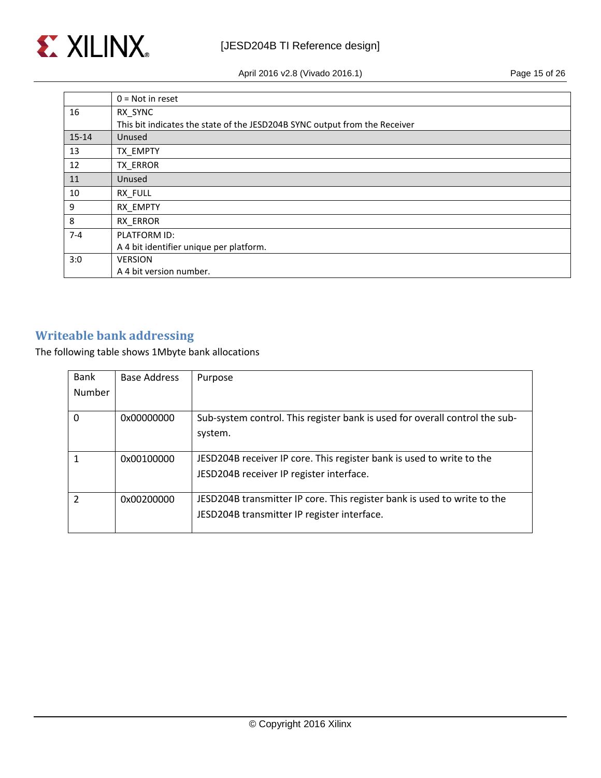

April 2016 v2.8 (Vivado 2016.1) Page 15 of 26

|         | $0 = Not in reset$                                                         |
|---------|----------------------------------------------------------------------------|
| 16      | RX_SYNC                                                                    |
|         | This bit indicates the state of the JESD204B SYNC output from the Receiver |
| $15-14$ | Unused                                                                     |
| 13      | TX EMPTY                                                                   |
| 12      | TX ERROR                                                                   |
| 11      | Unused                                                                     |
| 10      | RX FULL                                                                    |
| 9       | RX EMPTY                                                                   |
| 8       | RX ERROR                                                                   |
| $7 - 4$ | PLATFORM ID:                                                               |
|         | A 4 bit identifier unique per platform.                                    |
| 3:0     | <b>VERSION</b>                                                             |
|         | A 4 bit version number.                                                    |

# <span id="page-14-0"></span>**Writeable bank addressing**

The following table shows 1Mbyte bank allocations

| Bank          | <b>Base Address</b> | Purpose                                                                                                                 |
|---------------|---------------------|-------------------------------------------------------------------------------------------------------------------------|
| Number        |                     |                                                                                                                         |
| $\Omega$      | 0x00000000          | Sub-system control. This register bank is used for overall control the sub-<br>system.                                  |
|               | 0x00100000          | JESD204B receiver IP core. This register bank is used to write to the<br>JESD204B receiver IP register interface.       |
| $\mathcal{P}$ | 0x00200000          | JESD204B transmitter IP core. This register bank is used to write to the<br>JESD204B transmitter IP register interface. |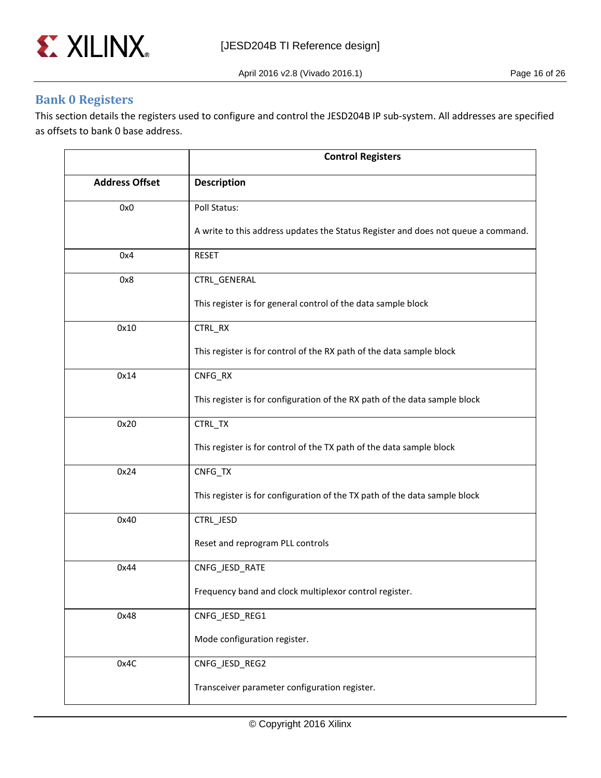

April 2016 v2.8 (Vivado 2016.1) Page 16 of 26

### <span id="page-15-0"></span>**Bank 0 Registers**

This section details the registers used to configure and control the JESD204B IP sub-system. All addresses are specified as offsets to bank 0 base address.

|                       | <b>Control Registers</b>                                                          |
|-----------------------|-----------------------------------------------------------------------------------|
| <b>Address Offset</b> | <b>Description</b>                                                                |
| 0x0                   | Poll Status:                                                                      |
|                       | A write to this address updates the Status Register and does not queue a command. |
| 0x4                   | <b>RESET</b>                                                                      |
| 0x8                   | CTRL_GENERAL                                                                      |
|                       | This register is for general control of the data sample block                     |
| 0x10                  | CTRL_RX                                                                           |
|                       | This register is for control of the RX path of the data sample block              |
| 0x14                  | CNFG_RX                                                                           |
|                       | This register is for configuration of the RX path of the data sample block        |
| 0x20                  | CTRL_TX                                                                           |
|                       | This register is for control of the TX path of the data sample block              |
| 0x24                  | CNFG_TX                                                                           |
|                       | This register is for configuration of the TX path of the data sample block        |
| 0x40                  | CTRL_JESD                                                                         |
|                       | Reset and reprogram PLL controls                                                  |
| 0x44                  | CNFG_JESD_RATE                                                                    |
|                       | Frequency band and clock multiplexor control register.                            |
| 0x48                  | CNFG_JESD_REG1                                                                    |
|                       | Mode configuration register.                                                      |
| 0x4C                  | CNFG_JESD_REG2                                                                    |
|                       | Transceiver parameter configuration register.                                     |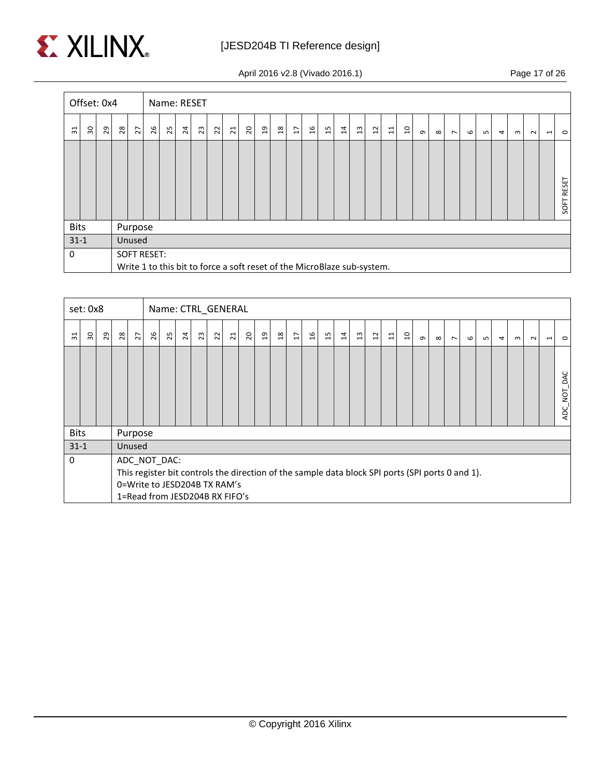

April 2016 v2.8 (Vivado 2016.1) Page 17 of 26

|                 | Offset: 0x4 |    |         |                |                    |    | Name: RESET    |    |                |                |                                                                         |   |                |                |    |    |          |                |                |       |                |          |          |                |   |     |                |   |        |                          |            |
|-----------------|-------------|----|---------|----------------|--------------------|----|----------------|----|----------------|----------------|-------------------------------------------------------------------------|---|----------------|----------------|----|----|----------|----------------|----------------|-------|----------------|----------|----------|----------------|---|-----|----------------|---|--------|--------------------------|------------|
| $\overline{31}$ | ႙           | 29 | $^{28}$ | $\overline{z}$ | 26                 | 25 | $\overline{a}$ | 23 | $\overline{2}$ | $\overline{z}$ | $\mathcal{S}$                                                           | g | $\frac{8}{10}$ | $\overline{H}$ | 9t | 15 | $\sharp$ | $\mathfrak{a}$ | $\mathfrak{a}$ | $\Xi$ | $\overline{a}$ | $\sigma$ | $\infty$ | $\overline{ }$ | G | LO. | $\overline{a}$ | ന | $\sim$ | $\overline{\phantom{0}}$ | $\circ$    |
|                 |             |    |         |                |                    |    |                |    |                |                |                                                                         |   |                |                |    |    |          |                |                |       |                |          |          |                |   |     |                |   |        |                          | SOFT RESET |
| <b>Bits</b>     |             |    |         | Purpose        |                    |    |                |    |                |                |                                                                         |   |                |                |    |    |          |                |                |       |                |          |          |                |   |     |                |   |        |                          |            |
| $31 - 1$        |             |    |         | Unused         |                    |    |                |    |                |                |                                                                         |   |                |                |    |    |          |                |                |       |                |          |          |                |   |     |                |   |        |                          |            |
| 0               |             |    |         |                | <b>SOFT RESET:</b> |    |                |    |                |                | Write 1 to this bit to force a soft reset of the MicroBlaze sub-system. |   |                |                |    |    |          |                |                |       |                |          |          |                |   |     |                |   |        |                          |            |

|                | set: 0x8 |    |    |                |              |    |    |    | Name: CTRL_GENERAL                                             |                 |                                                                                                  |    |                |                |                |                |                |                |                |       |                |          |          |                |   |     |                |   |        |                          |                                |
|----------------|----------|----|----|----------------|--------------|----|----|----|----------------------------------------------------------------|-----------------|--------------------------------------------------------------------------------------------------|----|----------------|----------------|----------------|----------------|----------------|----------------|----------------|-------|----------------|----------|----------|----------------|---|-----|----------------|---|--------|--------------------------|--------------------------------|
| $\overline{5}$ | 30       | 29 | 28 | $\overline{z}$ | 26           | 25 | 24 | 23 | $\approx$                                                      | $\overline{21}$ | $\overline{c}$                                                                                   | ្អ | $\frac{8}{18}$ | $\overline{L}$ | $\mathfrak{a}$ | $\overline{1}$ | $\overline{1}$ | $\mathfrak{a}$ | $\overline{u}$ | $\Xi$ | $\overline{a}$ | $\sigma$ | $\infty$ | $\overline{ }$ | G | ഥ I | $\overline{a}$ | ന | $\sim$ | $\overline{\phantom{0}}$ | $\circ$                        |
|                |          |    |    |                |              |    |    |    |                                                                |                 |                                                                                                  |    |                |                |                |                |                |                |                |       |                |          |          |                |   |     |                |   |        |                          | DAC<br>NOT<br>ADC <sub>.</sub> |
| <b>Bits</b>    |          |    |    | Purpose        |              |    |    |    |                                                                |                 |                                                                                                  |    |                |                |                |                |                |                |                |       |                |          |          |                |   |     |                |   |        |                          |                                |
| $31 - 1$       |          |    |    | Unused         |              |    |    |    |                                                                |                 |                                                                                                  |    |                |                |                |                |                |                |                |       |                |          |          |                |   |     |                |   |        |                          |                                |
| $\Omega$       |          |    |    |                | ADC_NOT_DAC: |    |    |    | 0=Write to JESD204B TX RAM's<br>1=Read from JESD204B RX FIFO's |                 | This register bit controls the direction of the sample data block SPI ports (SPI ports 0 and 1). |    |                |                |                |                |                |                |                |       |                |          |          |                |   |     |                |   |        |                          |                                |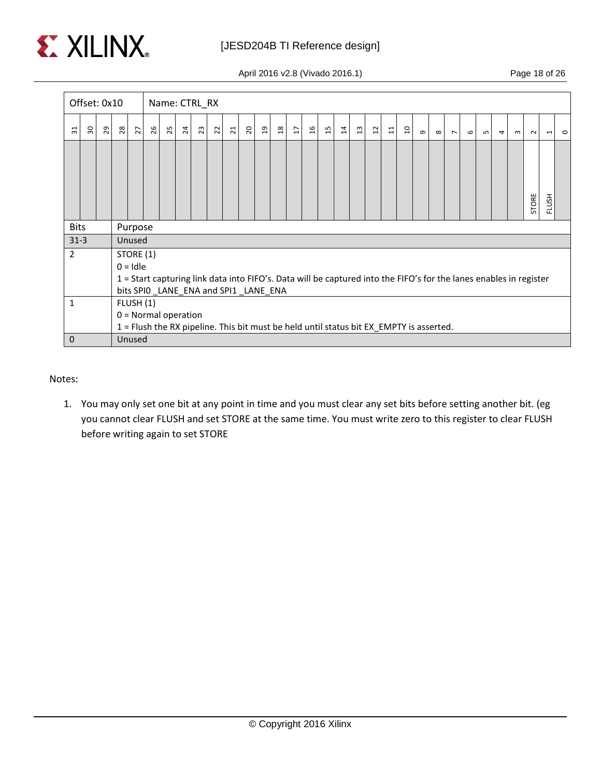

April 2016 v2.8 (Vivado 2016.1) Page 18 of 26

|                | Offset: 0x10 |    |    |            |    | Name: CTRL_RX                        |                |    |                |                |                         |   |               |                |    |                                                                                         |          |                |                |       |                |          |          |                |   |      |                |                                                                                                                    |        |                          |         |
|----------------|--------------|----|----|------------|----|--------------------------------------|----------------|----|----------------|----------------|-------------------------|---|---------------|----------------|----|-----------------------------------------------------------------------------------------|----------|----------------|----------------|-------|----------------|----------|----------|----------------|---|------|----------------|--------------------------------------------------------------------------------------------------------------------|--------|--------------------------|---------|
| ಸ              | ႙            | 29 | 28 | 27         | 26 | 25                                   | $\overline{a}$ | 23 | $\overline{2}$ | $\overline{z}$ | $\overline{\mathbf{c}}$ | g | $\frac{8}{2}$ | $\overline{H}$ | 9Ţ | 15                                                                                      | $\sharp$ | $\mathfrak{a}$ | $\overline{1}$ | $\Xi$ | $\overline{a}$ | $\sigma$ | $\infty$ | $\overline{ }$ | 6 | LO 1 | $\overline{a}$ | $\sim$                                                                                                             | $\sim$ | $\overline{\phantom{0}}$ | $\circ$ |
|                |              |    |    |            |    |                                      |                |    |                |                |                         |   |               |                |    |                                                                                         |          |                |                |       |                |          |          |                |   |      |                |                                                                                                                    | STORE  | FLUSH                    |         |
| <b>Bits</b>    |              |    |    | Purpose    |    |                                      |                |    |                |                |                         |   |               |                |    |                                                                                         |          |                |                |       |                |          |          |                |   |      |                |                                                                                                                    |        |                          |         |
| $31-3$         |              |    |    | Unused     |    |                                      |                |    |                |                |                         |   |               |                |    |                                                                                         |          |                |                |       |                |          |          |                |   |      |                |                                                                                                                    |        |                          |         |
| $\overline{2}$ |              |    |    | STORE (1)  |    |                                      |                |    |                |                |                         |   |               |                |    |                                                                                         |          |                |                |       |                |          |          |                |   |      |                |                                                                                                                    |        |                          |         |
|                |              |    |    | $0 =$ Idle |    |                                      |                |    |                |                |                         |   |               |                |    |                                                                                         |          |                |                |       |                |          |          |                |   |      |                |                                                                                                                    |        |                          |         |
|                |              |    |    |            |    |                                      |                |    |                |                |                         |   |               |                |    |                                                                                         |          |                |                |       |                |          |          |                |   |      |                | 1 = Start capturing link data into FIFO's. Data will be captured into the FIFO's for the lanes enables in register |        |                          |         |
|                |              |    |    |            |    | bits SPIO_LANE_ENA and SPI1_LANE_ENA |                |    |                |                |                         |   |               |                |    |                                                                                         |          |                |                |       |                |          |          |                |   |      |                |                                                                                                                    |        |                          |         |
| 1              |              |    |    | FLUSH (1)  |    |                                      |                |    |                |                |                         |   |               |                |    |                                                                                         |          |                |                |       |                |          |          |                |   |      |                |                                                                                                                    |        |                          |         |
|                |              |    |    |            |    | $0 =$ Normal operation               |                |    |                |                |                         |   |               |                |    |                                                                                         |          |                |                |       |                |          |          |                |   |      |                |                                                                                                                    |        |                          |         |
|                |              |    |    |            |    |                                      |                |    |                |                |                         |   |               |                |    | 1 = Flush the RX pipeline. This bit must be held until status bit EX_EMPTY is asserted. |          |                |                |       |                |          |          |                |   |      |                |                                                                                                                    |        |                          |         |
| $\mathbf 0$    |              |    |    | Unused     |    |                                      |                |    |                |                |                         |   |               |                |    |                                                                                         |          |                |                |       |                |          |          |                |   |      |                |                                                                                                                    |        |                          |         |

Notes:

1. You may only set one bit at any point in time and you must clear any set bits before setting another bit. (eg you cannot clear FLUSH and set STORE at the same time. You must write zero to this register to clear FLUSH before writing again to set STORE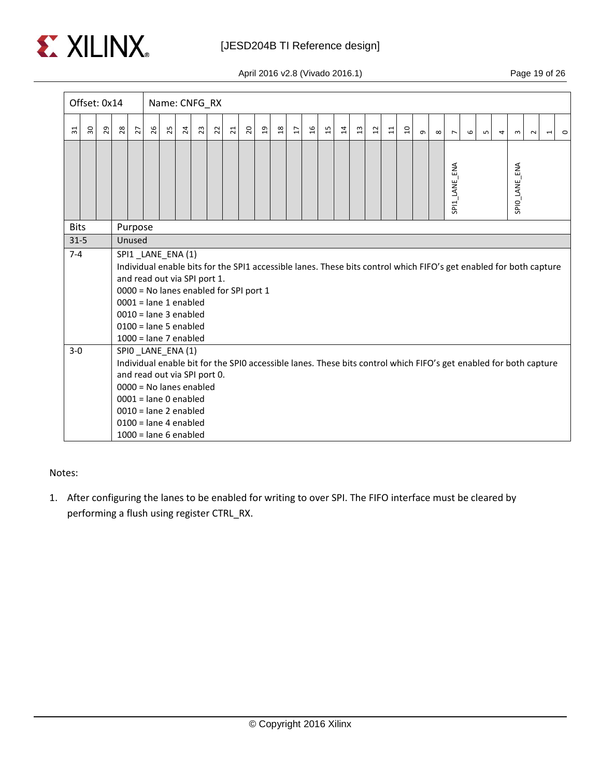

April 2016 v2.8 (Vivado 2016.1) Page 19 of 26

|             | Offset: 0x14 |         |    |                   |    | Name: CNFG_RX                                                                                                                                                                                           |                |    |                |                |               |   |               |                |                |       |                |                |                           |       |                |          |          |                |   |   |   |                                                                                                                    |        |                          |         |
|-------------|--------------|---------|----|-------------------|----|---------------------------------------------------------------------------------------------------------------------------------------------------------------------------------------------------------|----------------|----|----------------|----------------|---------------|---|---------------|----------------|----------------|-------|----------------|----------------|---------------------------|-------|----------------|----------|----------|----------------|---|---|---|--------------------------------------------------------------------------------------------------------------------|--------|--------------------------|---------|
| ಸ           | ႙ၟ           | $_{29}$ | 28 | 27                | 26 | 25                                                                                                                                                                                                      | $\overline{a}$ | 23 | $\overline{2}$ | $\overline{z}$ | $\mathcal{S}$ | g | $\frac{8}{2}$ | $\overline{u}$ | $\mathfrak{a}$ | $\Xi$ | $\overline{a}$ | $\mathfrak{a}$ | $\overline{\mathfrak{u}}$ | $\Xi$ | $\overline{a}$ | $\sigma$ | $\infty$ | $\overline{ }$ | 6 | S | 4 | $\mathsf{m}$                                                                                                       | $\sim$ | $\overline{\phantom{0}}$ | $\circ$ |
|             |              |         |    |                   |    |                                                                                                                                                                                                         |                |    |                |                |               |   |               |                |                |       |                |                |                           |       |                |          |          | SPI1 LANE ENA  |   |   |   | SPIO_LANE_ENA                                                                                                      |        |                          |         |
| <b>Bits</b> |              |         |    | Purpose<br>Unused |    |                                                                                                                                                                                                         |                |    |                |                |               |   |               |                |                |       |                |                |                           |       |                |          |          |                |   |   |   |                                                                                                                    |        |                          |         |
| $31 - 5$    |              |         |    |                   |    |                                                                                                                                                                                                         |                |    |                |                |               |   |               |                |                |       |                |                |                           |       |                |          |          |                |   |   |   |                                                                                                                    |        |                          |         |
| $7 - 4$     |              |         |    |                   |    | SPI1 LANE ENA (1)<br>and read out via SPI port 1.<br>0000 = No lanes enabled for SPI port 1<br>$0001$ = lane 1 enabled<br>$0010 =$ lane 3 enabled<br>$0100 =$ lane 5 enabled<br>$1000 =$ lane 7 enabled |                |    |                |                |               |   |               |                |                |       |                |                |                           |       |                |          |          |                |   |   |   | Individual enable bits for the SPI1 accessible lanes. These bits control which FIFO's get enabled for both capture |        |                          |         |
| $3-0$       |              |         |    |                   |    | SPIO LANE ENA (1)<br>and read out via SPI port 0.<br>$0000 = No$ lanes enabled<br>$0001$ = lane 0 enabled<br>$0010 =$ lane 2 enabled<br>$0100 =$ lane 4 enabled<br>$1000 =$ lane 6 enabled              |                |    |                |                |               |   |               |                |                |       |                |                |                           |       |                |          |          |                |   |   |   | Individual enable bit for the SPIO accessible lanes. These bits control which FIFO's get enabled for both capture  |        |                          |         |

#### Notes:

1. After configuring the lanes to be enabled for writing to over SPI. The FIFO interface must be cleared by performing a flush using register CTRL\_RX.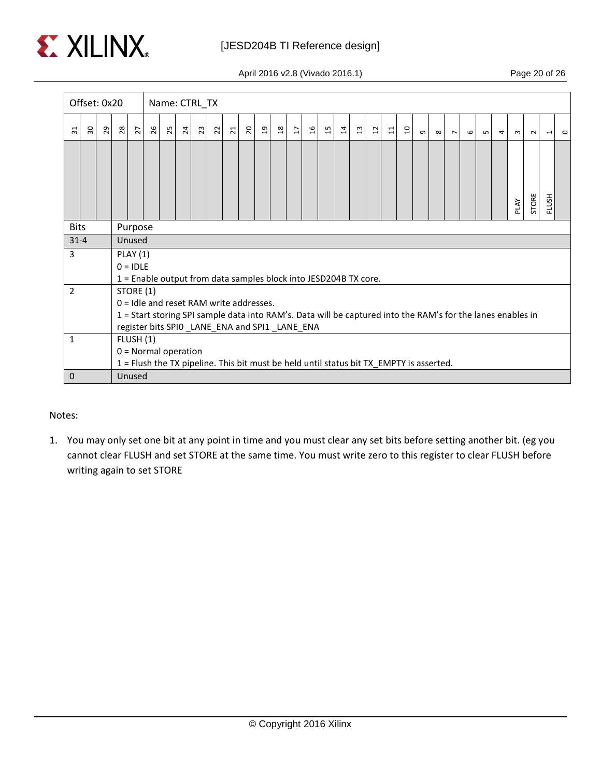

April 2016 v2.8 (Vivado 2016.1) Page 20 of 26

|             | Offset: 0x20 |    |    |                 |    | Name: CTRL_TX                             |                |    |    |                |                          |                |                |                |                                                                                                                                                              |    |          |                |                |                 |                |          |          |                |   |     |                |      |        |                          |         |
|-------------|--------------|----|----|-----------------|----|-------------------------------------------|----------------|----|----|----------------|--------------------------|----------------|----------------|----------------|--------------------------------------------------------------------------------------------------------------------------------------------------------------|----|----------|----------------|----------------|-----------------|----------------|----------|----------|----------------|---|-----|----------------|------|--------|--------------------------|---------|
| ಸ           | $30\,$       | 29 | 28 | $\overline{z}$  | 92 | 25                                        | $\overline{a}$ | 23 | S. | $\overline{z}$ | $\overline{\mathcal{L}}$ | $\overline{a}$ | $\overline{a}$ | $\overline{H}$ | 9t                                                                                                                                                           | 15 | $\sharp$ | $\mathfrak{a}$ | $\mathfrak{a}$ | $\overline{11}$ | $\overline{a}$ | $\sigma$ | $\infty$ | $\overline{ }$ | 6 | LO. | $\overline{4}$ | ന    | $\sim$ | $\overline{\phantom{0}}$ | $\circ$ |
|             |              |    |    |                 |    |                                           |                |    |    |                |                          |                |                |                |                                                                                                                                                              |    |          |                |                |                 |                |          |          |                |   |     |                | PLAY | STORE  | FLUSH                    |         |
| <b>Bits</b> |              |    |    | Purpose         |    |                                           |                |    |    |                |                          |                |                |                |                                                                                                                                                              |    |          |                |                |                 |                |          |          |                |   |     |                |      |        |                          |         |
| $31 - 4$    |              |    |    | Unused          |    |                                           |                |    |    |                |                          |                |                |                |                                                                                                                                                              |    |          |                |                |                 |                |          |          |                |   |     |                |      |        |                          |         |
| 3           |              |    |    | <b>PLAY (1)</b> |    |                                           |                |    |    |                |                          |                |                |                |                                                                                                                                                              |    |          |                |                |                 |                |          |          |                |   |     |                |      |        |                          |         |
|             |              |    |    | $0 = IDLE$      |    |                                           |                |    |    |                |                          |                |                |                |                                                                                                                                                              |    |          |                |                |                 |                |          |          |                |   |     |                |      |        |                          |         |
| 2           |              |    |    |                 |    |                                           |                |    |    |                |                          |                |                |                | 1 = Enable output from data samples block into JESD204B TX core.                                                                                             |    |          |                |                |                 |                |          |          |                |   |     |                |      |        |                          |         |
|             |              |    |    | STORE (1)       |    | $0 =$ Idle and reset RAM write addresses. |                |    |    |                |                          |                |                |                |                                                                                                                                                              |    |          |                |                |                 |                |          |          |                |   |     |                |      |        |                          |         |
|             |              |    |    |                 |    |                                           |                |    |    |                |                          |                |                |                | 1 = Start storing SPI sample data into RAM's. Data will be captured into the RAM's for the lanes enables in<br>register bits SPIO_LANE_ENA and SPI1_LANE_ENA |    |          |                |                |                 |                |          |          |                |   |     |                |      |        |                          |         |
| 1           |              |    |    | FLUSH (1)       |    |                                           |                |    |    |                |                          |                |                |                |                                                                                                                                                              |    |          |                |                |                 |                |          |          |                |   |     |                |      |        |                          |         |
|             |              |    |    |                 |    | $0 = Normal operation$                    |                |    |    |                |                          |                |                |                |                                                                                                                                                              |    |          |                |                |                 |                |          |          |                |   |     |                |      |        |                          |         |
|             |              |    |    |                 |    |                                           |                |    |    |                |                          |                |                |                | 1 = Flush the TX pipeline. This bit must be held until status bit TX_EMPTY is asserted.                                                                      |    |          |                |                |                 |                |          |          |                |   |     |                |      |        |                          |         |
| $\mathbf 0$ |              |    |    | Unused          |    |                                           |                |    |    |                |                          |                |                |                |                                                                                                                                                              |    |          |                |                |                 |                |          |          |                |   |     |                |      |        |                          |         |

#### Notes:

1. You may only set one bit at any point in time and you must clear any set bits before setting another bit. (eg you cannot clear FLUSH and set STORE at the same time. You must write zero to this register to clear FLUSH before writing again to set STORE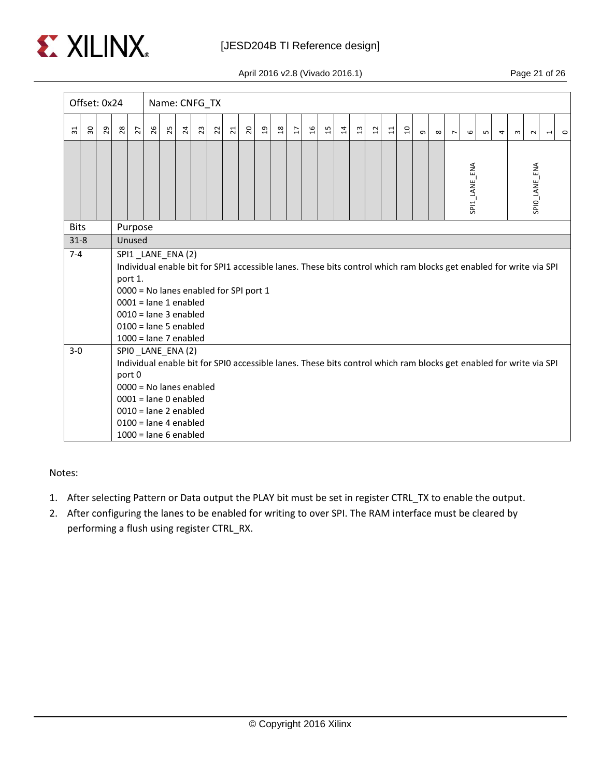

April 2016 v2.8 (Vivado 2016.1) Page 21 of 26

|             | Offset: 0x24 |    |    |                   |    |    | Name: CNFG_TX                                                                                                                                             |    |                |                                        |               |                |              |                |                |                |                |                |                           |       |                |          |          |                |               |   |   |                                                                                                                    |               |                          |         |
|-------------|--------------|----|----|-------------------|----|----|-----------------------------------------------------------------------------------------------------------------------------------------------------------|----|----------------|----------------------------------------|---------------|----------------|--------------|----------------|----------------|----------------|----------------|----------------|---------------------------|-------|----------------|----------|----------|----------------|---------------|---|---|--------------------------------------------------------------------------------------------------------------------|---------------|--------------------------|---------|
| ಸ           | ဥ္က          | 29 | 28 | 27                | 26 | 25 | $\overline{a}$                                                                                                                                            | 23 | $\overline{2}$ | $\overline{z}$                         | $\mathcal{L}$ | $\overline{a}$ | $\mathbf{a}$ | $\overline{u}$ | $\mathfrak{g}$ | $\overline{1}$ | $\overline{1}$ | $\mathfrak{a}$ | $\overline{\mathfrak{u}}$ | $\Xi$ | $\overline{a}$ | $\sigma$ | $\infty$ | $\overline{ }$ | $\circ$       | S | 4 | ന                                                                                                                  | $\sim$        | $\overline{\phantom{0}}$ | $\circ$ |
|             |              |    |    |                   |    |    |                                                                                                                                                           |    |                |                                        |               |                |              |                |                |                |                |                |                           |       |                |          |          |                | SPI1 LANE ENA |   |   |                                                                                                                    | SPIO_LANE_ENA |                          |         |
| <b>Bits</b> |              |    |    | Purpose<br>Unused |    |    |                                                                                                                                                           |    |                |                                        |               |                |              |                |                |                |                |                |                           |       |                |          |          |                |               |   |   |                                                                                                                    |               |                          |         |
| $31 - 8$    |              |    |    |                   |    |    |                                                                                                                                                           |    |                |                                        |               |                |              |                |                |                |                |                |                           |       |                |          |          |                |               |   |   |                                                                                                                    |               |                          |         |
| $7 - 4$     |              |    |    | port 1.           |    |    | SPI1_LANE_ENA(2)<br>$0001$ = lane 1 enabled<br>$0010 =$ lane 3 enabled<br>$0100 =$ lane 5 enabled<br>$1000 =$ lane 7 enabled                              |    |                | 0000 = No lanes enabled for SPI port 1 |               |                |              |                |                |                |                |                |                           |       |                |          |          |                |               |   |   | Individual enable bit for SPI1 accessible lanes. These bits control which ram blocks get enabled for write via SPI |               |                          |         |
| $3-0$       |              |    |    | port 0            |    |    | SPIO_LANE_ENA(2)<br>$0000 = No$ lanes enabled<br>$0001$ = lane 0 enabled<br>$0010 =$ lane 2 enabled<br>$0100 =$ lane 4 enabled<br>$1000 =$ lane 6 enabled |    |                |                                        |               |                |              |                |                |                |                |                |                           |       |                |          |          |                |               |   |   | Individual enable bit for SPIO accessible lanes. These bits control which ram blocks get enabled for write via SPI |               |                          |         |

Notes:

- 1. After selecting Pattern or Data output the PLAY bit must be set in register CTRL\_TX to enable the output.
- 2. After configuring the lanes to be enabled for writing to over SPI. The RAM interface must be cleared by performing a flush using register CTRL\_RX.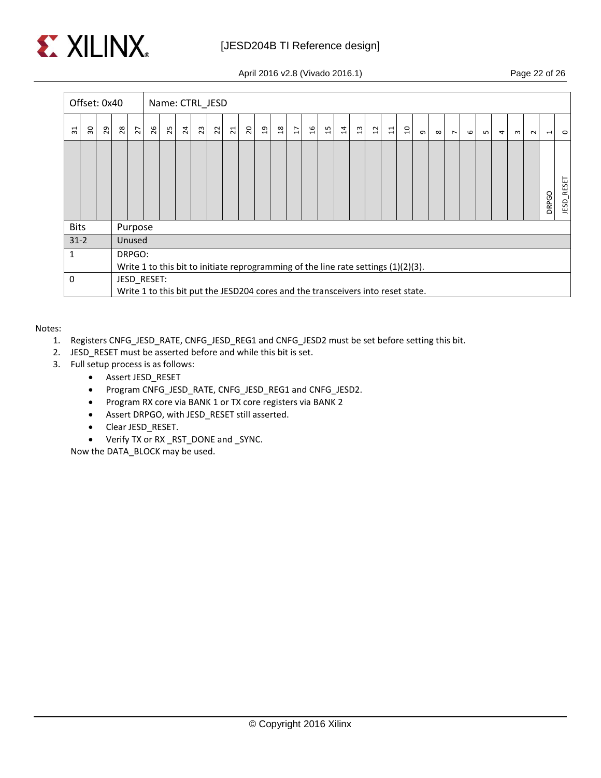

April 2016 v2.8 (Vivado 2016.1) Page 22 of 26

|             | Offset: 0x40 |    |    |                |             |    |    |    | Name: CTRL_JESD         |                |                                                                                    |   |                |                |    |    |           |                |   |       |                |          |          |                |   |     |                |          |        |                          |               |
|-------------|--------------|----|----|----------------|-------------|----|----|----|-------------------------|----------------|------------------------------------------------------------------------------------|---|----------------|----------------|----|----|-----------|----------------|---|-------|----------------|----------|----------|----------------|---|-----|----------------|----------|--------|--------------------------|---------------|
| ಸ           | ႙            | 29 | 28 | $\overline{z}$ | 26          | 25 | 24 | 23 | $\overline{\mathbf{z}}$ | $\overline{z}$ | $\mathcal{S}$                                                                      | g | $\frac{8}{10}$ | $\overline{L}$ | 9t | 15 | $\vec{a}$ | $\mathfrak{a}$ | 5 | $\Xi$ | $\overline{a}$ | $\sigma$ | $\infty$ | $\overline{ }$ | G | LO. | $\overline{4}$ | $\omega$ | $\sim$ | $\overline{\phantom{0}}$ | $\circ$       |
|             |              |    |    |                |             |    |    |    |                         |                |                                                                                    |   |                |                |    |    |           |                |   |       |                |          |          |                |   |     |                |          |        | <b>DRPGO</b>             | RESET<br>JESD |
| <b>Bits</b> |              |    |    | Purpose        |             |    |    |    |                         |                |                                                                                    |   |                |                |    |    |           |                |   |       |                |          |          |                |   |     |                |          |        |                          |               |
| $31 - 2$    |              |    |    | Unused         |             |    |    |    |                         |                |                                                                                    |   |                |                |    |    |           |                |   |       |                |          |          |                |   |     |                |          |        |                          |               |
| 1           |              |    |    | DRPGO:         |             |    |    |    |                         |                |                                                                                    |   |                |                |    |    |           |                |   |       |                |          |          |                |   |     |                |          |        |                          |               |
|             |              |    |    |                |             |    |    |    |                         |                | Write 1 to this bit to initiate reprogramming of the line rate settings (1)(2)(3). |   |                |                |    |    |           |                |   |       |                |          |          |                |   |     |                |          |        |                          |               |
| 0           |              |    |    |                | JESD RESET: |    |    |    |                         |                |                                                                                    |   |                |                |    |    |           |                |   |       |                |          |          |                |   |     |                |          |        |                          |               |
|             |              |    |    |                |             |    |    |    |                         |                | Write 1 to this bit put the JESD204 cores and the transceivers into reset state.   |   |                |                |    |    |           |                |   |       |                |          |          |                |   |     |                |          |        |                          |               |

Notes:

- 1. Registers CNFG\_JESD\_RATE, CNFG\_JESD\_REG1 and CNFG\_JESD2 must be set before setting this bit.
- 2. JESD\_RESET must be asserted before and while this bit is set.
- 3. Full setup process is as follows:
	- Assert JESD\_RESET
	- Program CNFG\_JESD\_RATE, CNFG\_JESD\_REG1 and CNFG\_JESD2.
	- Program RX core via BANK 1 or TX core registers via BANK 2
	- Assert DRPGO, with JESD\_RESET still asserted.
	- Clear JESD\_RESET.
	- Verify TX or RX \_RST\_DONE and \_SYNC.

Now the DATA\_BLOCK may be used.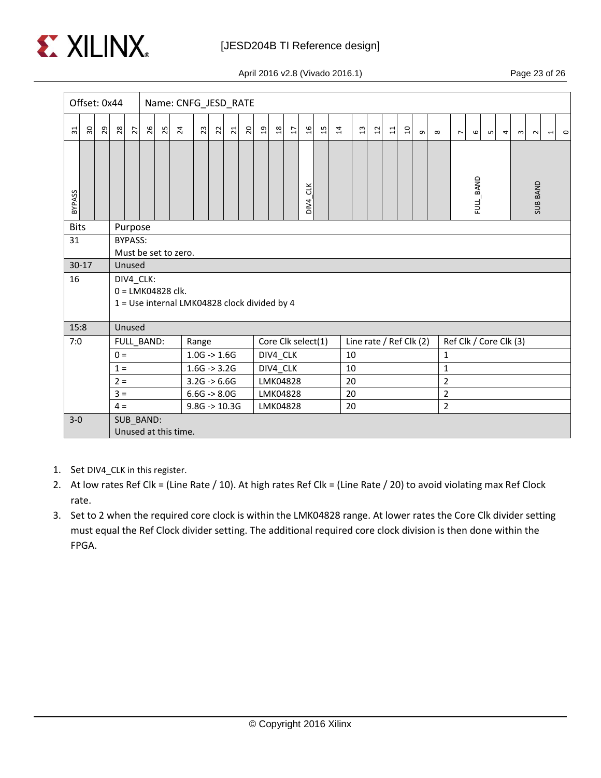

April 2016 v2.8 (Vivado 2016.1) Page 23 of 26

|             | Offset: 0x44                                                         |                                                                       |                                              |                |            |    | Name: CNFG_JESD_RATE                                                |                         |                |                |                 |                |                         |                    |               |                 |          |                         |                |       |                |          |                |                        |   |   |              |                 |                                     |  |
|-------------|----------------------------------------------------------------------|-----------------------------------------------------------------------|----------------------------------------------|----------------|------------|----|---------------------------------------------------------------------|-------------------------|----------------|----------------|-----------------|----------------|-------------------------|--------------------|---------------|-----------------|----------|-------------------------|----------------|-------|----------------|----------|----------------|------------------------|---|---|--------------|-----------------|-------------------------------------|--|
| ಸ           | $30^{\circ}$                                                         | 29                                                                    | 28                                           | $\overline{z}$ | 26         | 25 | $\overline{24}$                                                     | 23                      | $\overline{2}$ | $\overline{z}$ | $\overline{20}$ | $\mathfrak{g}$ | $\mathbf{\mathfrak{A}}$ | $\overline{u}$     | $\frac{9}{2}$ | $\overline{15}$ | $\sharp$ | $\mathfrak{a}$          | $\overline{1}$ | $\Xi$ | $\overline{a}$ | $\sigma$ | $\infty$       | $\overline{ }$         | 6 | S | $\mathsf{m}$ | $\sim$          | $\circ$<br>$\overline{\phantom{0}}$ |  |
| BYPASS      |                                                                      |                                                                       |                                              |                |            |    |                                                                     |                         |                |                |                 |                |                         |                    | CLK<br>DVA    |                 |          |                         |                |       |                |          |                | FULL BAND              |   |   |              | <b>SUB BAND</b> |                                     |  |
| <b>Bits</b> |                                                                      |                                                                       | Purpose                                      |                |            |    |                                                                     |                         |                |                |                 |                |                         |                    |               |                 |          |                         |                |       |                |          |                |                        |   |   |              |                 |                                     |  |
| 31          |                                                                      | <b>BYPASS:</b><br>Must be set to zero.                                |                                              |                |            |    |                                                                     |                         |                |                |                 |                |                         |                    |               |                 |          |                         |                |       |                |          |                |                        |   |   |              |                 |                                     |  |
|             | $30-17$                                                              | Unused                                                                |                                              |                |            |    |                                                                     |                         |                |                |                 |                |                         |                    |               |                 |          |                         |                |       |                |          |                |                        |   |   |              |                 |                                     |  |
| 16          |                                                                      | DIV4_CLK:                                                             |                                              |                |            |    |                                                                     |                         |                |                |                 |                |                         |                    |               |                 |          |                         |                |       |                |          |                |                        |   |   |              |                 |                                     |  |
|             |                                                                      |                                                                       |                                              |                |            |    | $0 = LMK04828$ clk.<br>1 = Use internal LMK04828 clock divided by 4 |                         |                |                |                 |                |                         |                    |               |                 |          |                         |                |       |                |          |                |                        |   |   |              |                 |                                     |  |
|             |                                                                      |                                                                       |                                              |                |            |    |                                                                     |                         |                |                |                 |                |                         |                    |               |                 |          |                         |                |       |                |          |                |                        |   |   |              |                 |                                     |  |
| 15:8        |                                                                      |                                                                       | Unused                                       |                |            |    |                                                                     |                         |                |                |                 |                |                         |                    |               |                 |          |                         |                |       |                |          |                |                        |   |   |              |                 |                                     |  |
| 7:0         |                                                                      |                                                                       |                                              |                | FULL BAND: |    |                                                                     | Range                   |                |                |                 |                |                         | Core Clk select(1) |               |                 |          | Line rate / Ref Clk (2) |                |       |                |          |                | Ref Clk / Core Clk (3) |   |   |              |                 |                                     |  |
|             |                                                                      |                                                                       | $1.0G \rightarrow 1.6G$<br>$0 =$<br>DIV4_CLK |                |            |    |                                                                     |                         |                |                |                 |                |                         |                    | 10            |                 |          |                         |                |       | $\mathbf{1}$   |          |                |                        |   |   |              |                 |                                     |  |
|             |                                                                      | $1.6G \rightarrow 3.2G$<br>$1 =$                                      |                                              |                |            |    |                                                                     |                         |                |                |                 |                | DIV4_CLK                |                    |               |                 | 10       |                         |                |       |                |          | $\mathbf 1$    |                        |   |   |              |                 |                                     |  |
|             |                                                                      |                                                                       | $2 =$                                        |                |            |    |                                                                     | $3.2G \rightarrow 6.6G$ |                |                |                 | LMK04828       |                         |                    |               |                 |          | 20                      |                |       |                |          | $\overline{2}$ |                        |   |   |              |                 |                                     |  |
|             | $\overline{2}$<br>$3 =$<br>$6.6G \rightarrow 8.0G$<br>LMK04828<br>20 |                                                                       |                                              |                |            |    |                                                                     |                         |                |                |                 |                |                         |                    |               |                 |          |                         |                |       |                |          |                |                        |   |   |              |                 |                                     |  |
|             |                                                                      | $\overline{2}$<br>$4 =$<br>20<br>$9.8G \rightarrow 10.3G$<br>LMK04828 |                                              |                |            |    |                                                                     |                         |                |                |                 |                |                         |                    |               |                 |          |                         |                |       |                |          |                |                        |   |   |              |                 |                                     |  |
| $3 - 0$     |                                                                      |                                                                       | SUB_BAND:                                    |                |            |    |                                                                     |                         |                |                |                 |                |                         |                    |               |                 |          |                         |                |       |                |          |                |                        |   |   |              |                 |                                     |  |
|             |                                                                      |                                                                       | Unused at this time.                         |                |            |    |                                                                     |                         |                |                |                 |                |                         |                    |               |                 |          |                         |                |       |                |          |                |                        |   |   |              |                 |                                     |  |

- 1. Set DIV4\_CLK in this register.
- 2. At low rates Ref Clk = (Line Rate / 10). At high rates Ref Clk = (Line Rate / 20) to avoid violating max Ref Clock rate.
- 3. Set to 2 when the required core clock is within the LMK04828 range. At lower rates the Core Clk divider setting must equal the Ref Clock divider setting. The additional required core clock division is then done within the FPGA.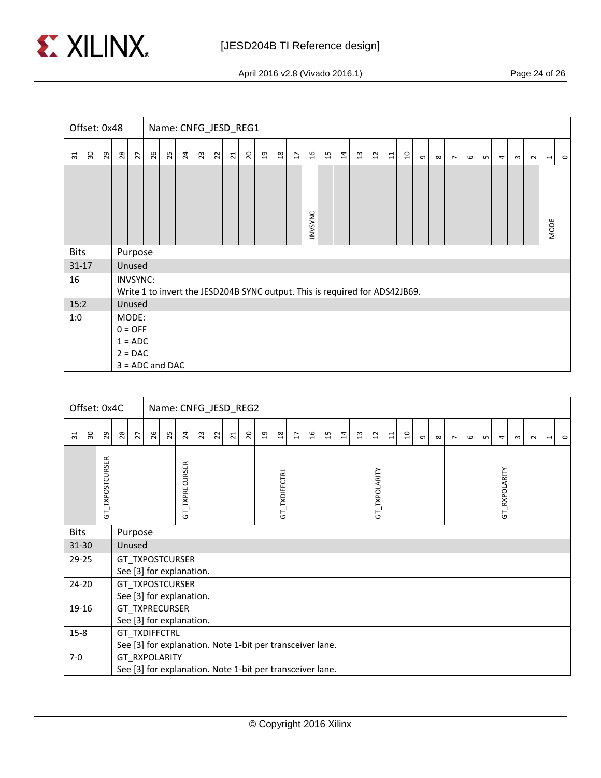

April 2016 v2.8 (Vivado 2016.1) Page 24 of 26

|                 | Offset: 0x48 |                   |    |                        |    | Name: CNFG_JESD_REG1                                                        |                 |    |                |                 |                |                |      |                |                |    |    |    |                 |                 |                |          |          |                |   |                 |   |          |        |                |         |
|-----------------|--------------|-------------------|----|------------------------|----|-----------------------------------------------------------------------------|-----------------|----|----------------|-----------------|----------------|----------------|------|----------------|----------------|----|----|----|-----------------|-----------------|----------------|----------|----------|----------------|---|-----------------|---|----------|--------|----------------|---------|
| $\overline{31}$ | 30           | 29                | 28 | 27                     | 26 | 25                                                                          | $\overline{24}$ | 23 | $\overline{2}$ | $\overline{21}$ | $\overline{c}$ | $\mathfrak{a}$ | $18$ | $\overline{L}$ | $\mathfrak{a}$ | 15 | 14 | 13 | $\overline{12}$ | $\overline{11}$ | $\overline{a}$ | $\sigma$ | $\infty$ | $\overline{ }$ | G | LO <sub>1</sub> | 4 | $\omega$ | $\sim$ | $\blacksquare$ | $\circ$ |
|                 |              |                   |    |                        |    |                                                                             |                 |    |                |                 |                |                |      |                |                |    |    |    |                 |                 |                |          |          |                |   |                 |   |          |        |                |         |
|                 |              |                   |    | INVSYNC<br><b>MODE</b> |    |                                                                             |                 |    |                |                 |                |                |      |                |                |    |    |    |                 |                 |                |          |          |                |   |                 |   |          |        |                |         |
| <b>Bits</b>     |              |                   |    | Purpose                |    |                                                                             |                 |    |                |                 |                |                |      |                |                |    |    |    |                 |                 |                |          |          |                |   |                 |   |          |        |                |         |
| $31 - 17$       |              |                   |    | Unused                 |    |                                                                             |                 |    |                |                 |                |                |      |                |                |    |    |    |                 |                 |                |          |          |                |   |                 |   |          |        |                |         |
| 16              |              |                   |    | <b>INVSYNC:</b>        |    | Write 1 to invert the JESD204B SYNC output. This is required for ADS42JB69. |                 |    |                |                 |                |                |      |                |                |    |    |    |                 |                 |                |          |          |                |   |                 |   |          |        |                |         |
| 15:2            |              |                   |    | Unused                 |    |                                                                             |                 |    |                |                 |                |                |      |                |                |    |    |    |                 |                 |                |          |          |                |   |                 |   |          |        |                |         |
| 1:0             |              |                   |    | MODE:<br>$0 = OFF$     |    |                                                                             |                 |    |                |                 |                |                |      |                |                |    |    |    |                 |                 |                |          |          |                |   |                 |   |          |        |                |         |
|                 |              | $1 = ADC$         |    |                        |    |                                                                             |                 |    |                |                 |                |                |      |                |                |    |    |    |                 |                 |                |          |          |                |   |                 |   |          |        |                |         |
|                 |              | $2 = DAC$         |    |                        |    |                                                                             |                 |    |                |                 |                |                |      |                |                |    |    |    |                 |                 |                |          |          |                |   |                 |   |          |        |                |         |
|                 |              | $3 = ADC$ and DAC |    |                        |    |                                                                             |                 |    |                |                 |                |                |      |                |                |    |    |    |                 |                 |                |          |          |                |   |                 |   |          |        |                |         |

| Offset: 0x4C |           |                                                                                   |                                                                                                          |         |                          |                |  | Name: CNFG_JESD_REG2 |  |  |  |  |               |   |               |    |                |                |                           |       |   |               |          |                |         |   |   |              |        |                          |         |
|--------------|-----------|-----------------------------------------------------------------------------------|----------------------------------------------------------------------------------------------------------|---------|--------------------------|----------------|--|----------------------|--|--|--|--|---------------|---|---------------|----|----------------|----------------|---------------------------|-------|---|---------------|----------|----------------|---------|---|---|--------------|--------|--------------------------|---------|
| ಸ            | 50        | $_{29}$                                                                           | 26<br>$\Omega$<br>$28$<br>25<br>$\overline{a}$<br>23<br>$\overline{\mathbf{z}}$<br>$\overline{21}$<br>27 |         |                          |                |  |                      |  |  |  |  | $\frac{8}{3}$ | H | 9t            | 15 | $\overline{1}$ | $\mathfrak{a}$ | $\overline{\mathfrak{u}}$ | $\Xi$ | a | $\sigma$      | $\infty$ | $\overline{ }$ | $\circ$ | ഗ | 4 | $\mathsf{m}$ | $\sim$ | $\overline{\phantom{0}}$ | $\circ$ |
|              |           | GT_TXPOSTCURSER                                                                   |                                                                                                          |         |                          | GT_TXPRECURSER |  |                      |  |  |  |  | GT_TXDIFFCTRL |   | GT_TXPOLARITY |    |                |                |                           |       |   | GT_RXPOLARITY |          |                |         |   |   |              |        |                          |         |
| <b>Bits</b>  |           |                                                                                   |                                                                                                          | Purpose |                          |                |  |                      |  |  |  |  |               |   |               |    |                |                |                           |       |   |               |          |                |         |   |   |              |        |                          |         |
|              | 31-30     |                                                                                   |                                                                                                          | Unused  |                          |                |  |                      |  |  |  |  |               |   |               |    |                |                |                           |       |   |               |          |                |         |   |   |              |        |                          |         |
|              | 29-25     |                                                                                   |                                                                                                          |         | GT_TXPOSTCURSER          |                |  |                      |  |  |  |  |               |   |               |    |                |                |                           |       |   |               |          |                |         |   |   |              |        |                          |         |
|              |           |                                                                                   |                                                                                                          |         | See [3] for explanation. |                |  |                      |  |  |  |  |               |   |               |    |                |                |                           |       |   |               |          |                |         |   |   |              |        |                          |         |
|              | $24 - 20$ |                                                                                   | GT TXPOSTCURSER                                                                                          |         |                          |                |  |                      |  |  |  |  |               |   |               |    |                |                |                           |       |   |               |          |                |         |   |   |              |        |                          |         |
|              |           |                                                                                   | See [3] for explanation.                                                                                 |         |                          |                |  |                      |  |  |  |  |               |   |               |    |                |                |                           |       |   |               |          |                |         |   |   |              |        |                          |         |
|              | 19-16     | GT_TXPRECURSER                                                                    |                                                                                                          |         |                          |                |  |                      |  |  |  |  |               |   |               |    |                |                |                           |       |   |               |          |                |         |   |   |              |        |                          |         |
|              |           |                                                                                   | See [3] for explanation.                                                                                 |         |                          |                |  |                      |  |  |  |  |               |   |               |    |                |                |                           |       |   |               |          |                |         |   |   |              |        |                          |         |
| $15 - 8$     |           | <b>GT TXDIFFCTRL</b><br>See [3] for explanation. Note 1-bit per transceiver lane. |                                                                                                          |         |                          |                |  |                      |  |  |  |  |               |   |               |    |                |                |                           |       |   |               |          |                |         |   |   |              |        |                          |         |
| $7-0$        |           | GT RXPOLARITY                                                                     |                                                                                                          |         |                          |                |  |                      |  |  |  |  |               |   |               |    |                |                |                           |       |   |               |          |                |         |   |   |              |        |                          |         |
|              |           | See [3] for explanation. Note 1-bit per transceiver lane.                         |                                                                                                          |         |                          |                |  |                      |  |  |  |  |               |   |               |    |                |                |                           |       |   |               |          |                |         |   |   |              |        |                          |         |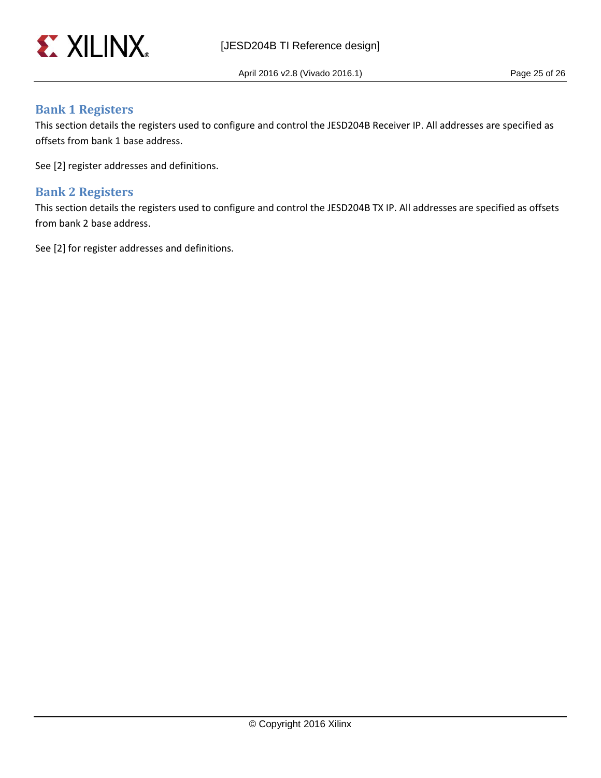

April 2016 v2.8 (Vivado 2016.1) Page 25 of 26

### <span id="page-24-0"></span>**Bank 1 Registers**

This section details the registers used to configure and control the JESD204B Receiver IP. All addresses are specified as offsets from bank 1 base address.

See [2] register addresses and definitions.

### <span id="page-24-1"></span>**Bank 2 Registers**

This section details the registers used to configure and control the JESD204B TX IP. All addresses are specified as offsets from bank 2 base address.

See [2] for register addresses and definitions.